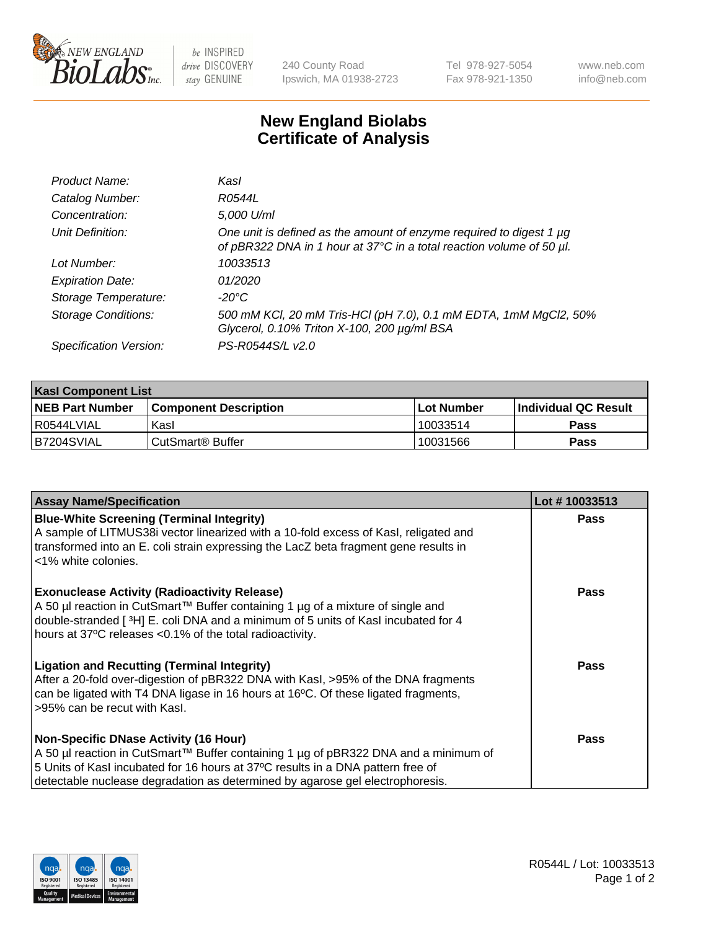

be INSPIRED drive DISCOVERY stay GENUINE

240 County Road Ipswich, MA 01938-2723 Tel 978-927-5054 Fax 978-921-1350

www.neb.com info@neb.com

## **New England Biolabs Certificate of Analysis**

| Product Name:              | Kasl                                                                                                                                             |
|----------------------------|--------------------------------------------------------------------------------------------------------------------------------------------------|
| Catalog Number:            | R0544L                                                                                                                                           |
| Concentration:             | 5,000 U/ml                                                                                                                                       |
| Unit Definition:           | One unit is defined as the amount of enzyme required to digest 1 $\mu$ g<br>of pBR322 DNA in 1 hour at 37°C in a total reaction volume of 50 µl. |
| Lot Number:                | 10033513                                                                                                                                         |
| <b>Expiration Date:</b>    | 01/2020                                                                                                                                          |
| Storage Temperature:       | $-20^{\circ}$ C                                                                                                                                  |
| <b>Storage Conditions:</b> | 500 mM KCl, 20 mM Tris-HCl (pH 7.0), 0.1 mM EDTA, 1mM MgCl2, 50%<br>Glycerol, 0.10% Triton X-100, 200 µg/ml BSA                                  |
| Specification Version:     | PS-R0544S/L v2.0                                                                                                                                 |

| <b>Kasl Component List</b> |                              |              |                             |  |  |
|----------------------------|------------------------------|--------------|-----------------------------|--|--|
| <b>NEB Part Number</b>     | <b>Component Description</b> | l Lot Number | <b>Individual QC Result</b> |  |  |
| I R0544LVIAL               | Kasl                         | 10033514     | <b>Pass</b>                 |  |  |
| B7204SVIAL                 | l CutSmart® Buffer           | 10031566     | Pass                        |  |  |

| <b>Assay Name/Specification</b>                                                                                                                                                                                                                                                                         | Lot #10033513 |
|---------------------------------------------------------------------------------------------------------------------------------------------------------------------------------------------------------------------------------------------------------------------------------------------------------|---------------|
| <b>Blue-White Screening (Terminal Integrity)</b><br>A sample of LITMUS38i vector linearized with a 10-fold excess of Kasl, religated and<br>transformed into an E. coli strain expressing the LacZ beta fragment gene results in<br><1% white colonies.                                                 | Pass          |
| <b>Exonuclease Activity (Radioactivity Release)</b><br>A 50 µl reaction in CutSmart™ Buffer containing 1 µg of a mixture of single and<br>double-stranded [3H] E. coli DNA and a minimum of 5 units of Kasl incubated for 4<br>hours at 37°C releases <0.1% of the total radioactivity.                 | <b>Pass</b>   |
| <b>Ligation and Recutting (Terminal Integrity)</b><br>After a 20-fold over-digestion of pBR322 DNA with Kasl, >95% of the DNA fragments<br>can be ligated with T4 DNA ligase in 16 hours at 16°C. Of these ligated fragments,<br>>95% can be recut with Kasl.                                           | Pass          |
| <b>Non-Specific DNase Activity (16 Hour)</b><br>A 50 µl reaction in CutSmart™ Buffer containing 1 µg of pBR322 DNA and a minimum of<br>5 Units of Kasl incubated for 16 hours at 37°C results in a DNA pattern free of<br>detectable nuclease degradation as determined by agarose gel electrophoresis. | Pass          |